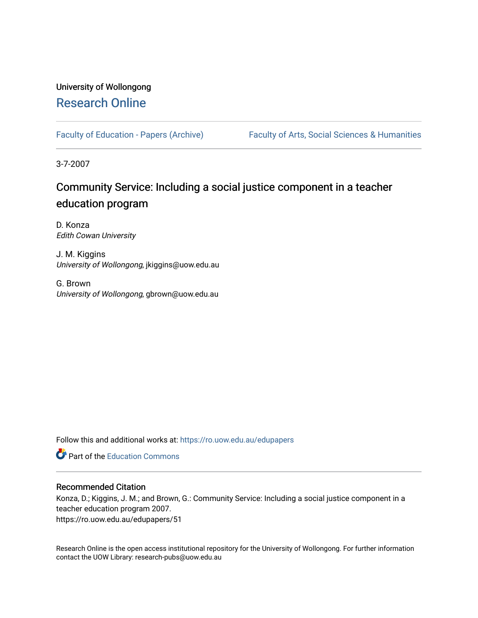## University of Wollongong [Research Online](https://ro.uow.edu.au/)

[Faculty of Education - Papers \(Archive\)](https://ro.uow.edu.au/edupapers) Faculty of Arts, Social Sciences & Humanities

3-7-2007

# Community Service: Including a social justice component in a teacher education program

D. Konza Edith Cowan University

J. M. Kiggins University of Wollongong, jkiggins@uow.edu.au

G. Brown University of Wollongong, gbrown@uow.edu.au

Follow this and additional works at: [https://ro.uow.edu.au/edupapers](https://ro.uow.edu.au/edupapers?utm_source=ro.uow.edu.au%2Fedupapers%2F51&utm_medium=PDF&utm_campaign=PDFCoverPages) 

**C** Part of the [Education Commons](http://network.bepress.com/hgg/discipline/784?utm_source=ro.uow.edu.au%2Fedupapers%2F51&utm_medium=PDF&utm_campaign=PDFCoverPages)

#### Recommended Citation

Konza, D.; Kiggins, J. M.; and Brown, G.: Community Service: Including a social justice component in a teacher education program 2007. https://ro.uow.edu.au/edupapers/51

Research Online is the open access institutional repository for the University of Wollongong. For further information contact the UOW Library: research-pubs@uow.edu.au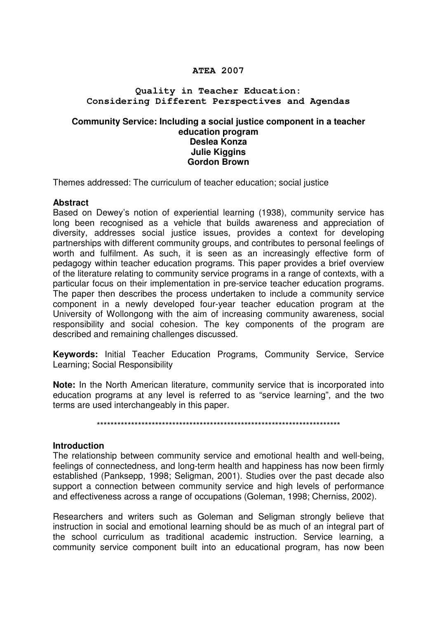## **ATEA 2007**

## **Quality in Teacher Education: Considering Different Perspectives and Agendas**

#### **Community Service: Including a social justice component in a teacher education program Deslea Konza Julie Kiggins Gordon Brown**

Themes addressed: The curriculum of teacher education; social justice

#### **Abstract**

Based on Dewey's notion of experiential learning (1938), community service has long been recognised as a vehicle that builds awareness and appreciation of diversity, addresses social justice issues, provides a context for developing partnerships with different community groups, and contributes to personal feelings of worth and fulfilment. As such, it is seen as an increasingly effective form of pedagogy within teacher education programs. This paper provides a brief overview of the literature relating to community service programs in a range of contexts, with a particular focus on their implementation in pre-service teacher education programs. The paper then describes the process undertaken to include a community service component in a newly developed four-year teacher education program at the University of Wollongong with the aim of increasing community awareness, social responsibility and social cohesion. The key components of the program are described and remaining challenges discussed.

**Keywords:** Initial Teacher Education Programs, Community Service, Service Learning; Social Responsibility

**Note:** In the North American literature, community service that is incorporated into education programs at any level is referred to as "service learning", and the two terms are used interchangeably in this paper.

\*\*\*\*\*\*\*\*\*\*\*\*\*\*\*\*\*\*\*\*\*\*\*\*\*\*\*\*\*\*\*\*\*\*\*\*\*\*\*\*\*\*\*\*\*\*\*\*\*\*\*\*\*\*\*\*\*\*\*\*\*\*\*\*\*\*\*\*\*\*\*

#### **Introduction**

The relationship between community service and emotional health and well-being, feelings of connectedness, and long-term health and happiness has now been firmly established (Panksepp, 1998; Seligman, 2001). Studies over the past decade also support a connection between community service and high levels of performance and effectiveness across a range of occupations (Goleman, 1998; Cherniss, 2002).

Researchers and writers such as Goleman and Seligman strongly believe that instruction in social and emotional learning should be as much of an integral part of the school curriculum as traditional academic instruction. Service learning, a community service component built into an educational program, has now been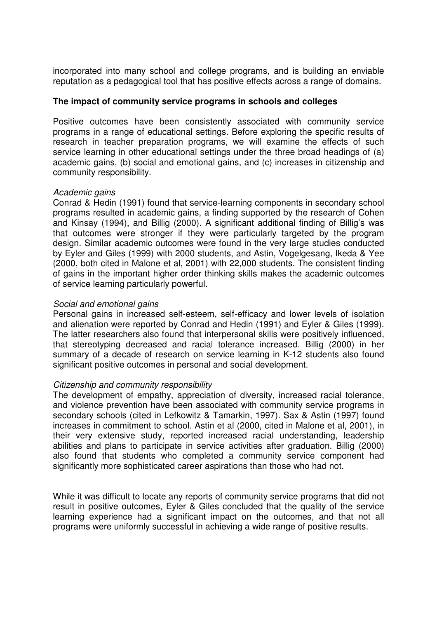incorporated into many school and college programs, and is building an enviable reputation as a pedagogical tool that has positive effects across a range of domains.

## **The impact of community service programs in schools and colleges**

Positive outcomes have been consistently associated with community service programs in a range of educational settings. Before exploring the specific results of research in teacher preparation programs, we will examine the effects of such service learning in other educational settings under the three broad headings of (a) academic gains, (b) social and emotional gains, and (c) increases in citizenship and community responsibility.

## Academic gains

Conrad & Hedin (1991) found that service-learning components in secondary school programs resulted in academic gains, a finding supported by the research of Cohen and Kinsay (1994), and Billig (2000). A significant additional finding of Billig's was that outcomes were stronger if they were particularly targeted by the program design. Similar academic outcomes were found in the very large studies conducted by Eyler and Giles (1999) with 2000 students, and Astin, Vogelgesang, Ikeda & Yee (2000, both cited in Malone et al, 2001) with 22,000 students. The consistent finding of gains in the important higher order thinking skills makes the academic outcomes of service learning particularly powerful.

## Social and emotional gains

Personal gains in increased self-esteem, self-efficacy and lower levels of isolation and alienation were reported by Conrad and Hedin (1991) and Eyler & Giles (1999). The latter researchers also found that interpersonal skills were positively influenced, that stereotyping decreased and racial tolerance increased. Billig (2000) in her summary of a decade of research on service learning in K-12 students also found significant positive outcomes in personal and social development.

## Citizenship and community responsibility

The development of empathy, appreciation of diversity, increased racial tolerance, and violence prevention have been associated with community service programs in secondary schools (cited in Lefkowitz & Tamarkin, 1997). Sax & Astin (1997) found increases in commitment to school. Astin et al (2000, cited in Malone et al, 2001), in their very extensive study, reported increased racial understanding, leadership abilities and plans to participate in service activities after graduation. Billig (2000) also found that students who completed a community service component had significantly more sophisticated career aspirations than those who had not.

While it was difficult to locate any reports of community service programs that did not result in positive outcomes, Eyler & Giles concluded that the quality of the service learning experience had a significant impact on the outcomes, and that not all programs were uniformly successful in achieving a wide range of positive results.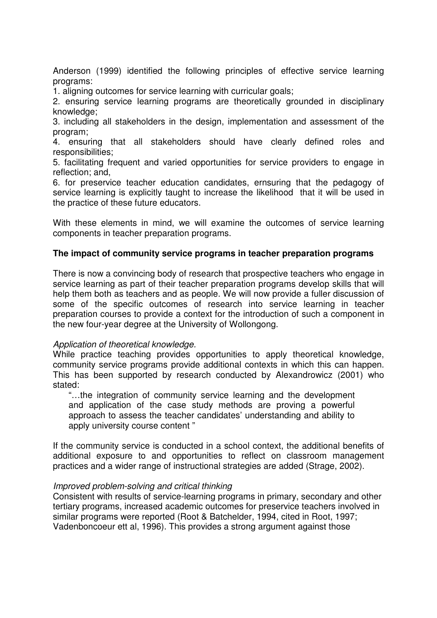Anderson (1999) identified the following principles of effective service learning programs:

1. aligning outcomes for service learning with curricular goals;

2. ensuring service learning programs are theoretically grounded in disciplinary knowledge;

3. including all stakeholders in the design, implementation and assessment of the program;

4. ensuring that all stakeholders should have clearly defined roles and responsibilities;

5. facilitating frequent and varied opportunities for service providers to engage in reflection; and,

6. for preservice teacher education candidates, ernsuring that the pedagogy of service learning is explicitly taught to increase the likelihood that it will be used in the practice of these future educators.

With these elements in mind, we will examine the outcomes of service learning components in teacher preparation programs.

## **The impact of community service programs in teacher preparation programs**

There is now a convincing body of research that prospective teachers who engage in service learning as part of their teacher preparation programs develop skills that will help them both as teachers and as people. We will now provide a fuller discussion of some of the specific outcomes of research into service learning in teacher preparation courses to provide a context for the introduction of such a component in the new four-year degree at the University of Wollongong.

## Application of theoretical knowledge.

While practice teaching provides opportunities to apply theoretical knowledge, community service programs provide additional contexts in which this can happen. This has been supported by research conducted by Alexandrowicz (2001) who stated:

"…the integration of community service learning and the development and application of the case study methods are proving a powerful approach to assess the teacher candidates' understanding and ability to apply university course content "

If the community service is conducted in a school context, the additional benefits of additional exposure to and opportunities to reflect on classroom management practices and a wider range of instructional strategies are added (Strage, 2002).

#### Improved problem-solving and critical thinking

Consistent with results of service-learning programs in primary, secondary and other tertiary programs, increased academic outcomes for preservice teachers involved in similar programs were reported (Root & Batchelder, 1994, cited in Root, 1997; Vadenboncoeur ett al, 1996). This provides a strong argument against those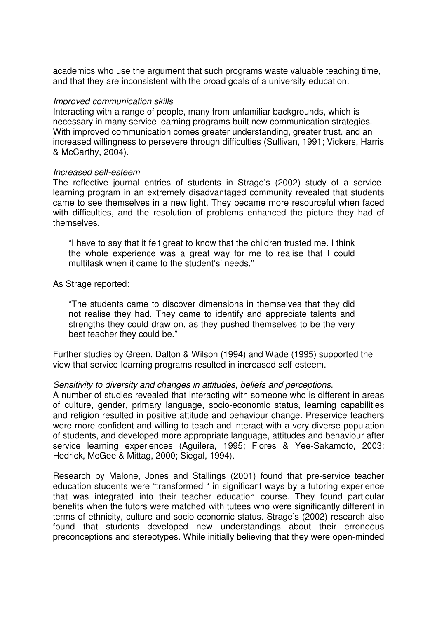academics who use the argument that such programs waste valuable teaching time, and that they are inconsistent with the broad goals of a university education.

#### Improved communication skills

Interacting with a range of people, many from unfamiliar backgrounds, which is necessary in many service learning programs built new communication strategies. With improved communication comes greater understanding, greater trust, and an increased willingness to persevere through difficulties (Sullivan, 1991; Vickers, Harris & McCarthy, 2004).

#### Increased self-esteem

The reflective journal entries of students in Strage's (2002) study of a servicelearning program in an extremely disadvantaged community revealed that students came to see themselves in a new light. They became more resourceful when faced with difficulties, and the resolution of problems enhanced the picture they had of themselves.

"I have to say that it felt great to know that the children trusted me. I think the whole experience was a great way for me to realise that I could multitask when it came to the student's' needs,"

As Strage reported:

"The students came to discover dimensions in themselves that they did not realise they had. They came to identify and appreciate talents and strengths they could draw on, as they pushed themselves to be the very best teacher they could be."

Further studies by Green, Dalton & Wilson (1994) and Wade (1995) supported the view that service-learning programs resulted in increased self-esteem.

#### Sensitivity to diversity and changes in attitudes, beliefs and perceptions.

A number of studies revealed that interacting with someone who is different in areas of culture, gender, primary language, socio-economic status, learning capabilities and religion resulted in positive attitude and behaviour change. Preservice teachers were more confident and willing to teach and interact with a very diverse population of students, and developed more appropriate language, attitudes and behaviour after service learning experiences (Aguilera, 1995; Flores & Yee-Sakamoto, 2003; Hedrick, McGee & Mittag, 2000; Siegal, 1994).

Research by Malone, Jones and Stallings (2001) found that pre-service teacher education students were "transformed " in significant ways by a tutoring experience that was integrated into their teacher education course. They found particular benefits when the tutors were matched with tutees who were significantly different in terms of ethnicity, culture and socio-economic status. Strage's (2002) research also found that students developed new understandings about their erroneous preconceptions and stereotypes. While initially believing that they were open-minded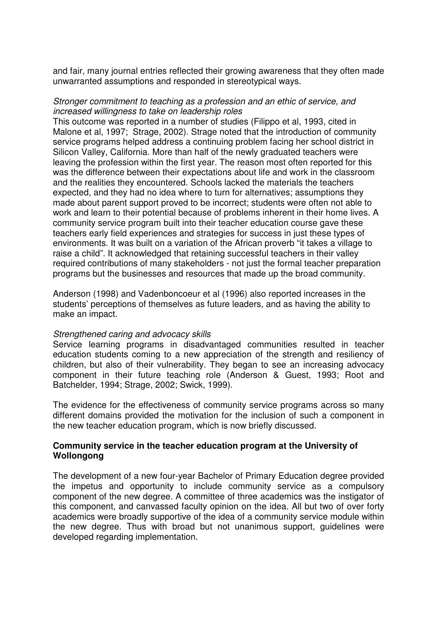and fair, many journal entries reflected their growing awareness that they often made unwarranted assumptions and responded in stereotypical ways.

## Stronger commitment to teaching as a profession and an ethic of service, and increased willingness to take on leadership roles

This outcome was reported in a number of studies (Filippo et al, 1993, cited in Malone et al, 1997; Strage, 2002). Strage noted that the introduction of community service programs helped address a continuing problem facing her school district in Silicon Valley, California. More than half of the newly graduated teachers were leaving the profession within the first year. The reason most often reported for this was the difference between their expectations about life and work in the classroom and the realities they encountered. Schools lacked the materials the teachers expected, and they had no idea where to turn for alternatives; assumptions they made about parent support proved to be incorrect; students were often not able to work and learn to their potential because of problems inherent in their home lives. A community service program built into their teacher education course gave these teachers early field experiences and strategies for success in just these types of environments. It was built on a variation of the African proverb "it takes a village to raise a child". It acknowledged that retaining successful teachers in their valley required contributions of many stakeholders - not just the formal teacher preparation programs but the businesses and resources that made up the broad community.

Anderson (1998) and Vadenboncoeur et al (1996) also reported increases in the students' perceptions of themselves as future leaders, and as having the ability to make an impact.

#### Strengthened caring and advocacy skills

Service learning programs in disadvantaged communities resulted in teacher education students coming to a new appreciation of the strength and resiliency of children, but also of their vulnerability. They began to see an increasing advocacy component in their future teaching role (Anderson & Guest, 1993; Root and Batchelder, 1994; Strage, 2002; Swick, 1999).

The evidence for the effectiveness of community service programs across so many different domains provided the motivation for the inclusion of such a component in the new teacher education program, which is now briefly discussed.

#### **Community service in the teacher education program at the University of Wollongong**

The development of a new four-year Bachelor of Primary Education degree provided the impetus and opportunity to include community service as a compulsory component of the new degree. A committee of three academics was the instigator of this component, and canvassed faculty opinion on the idea. All but two of over forty academics were broadly supportive of the idea of a community service module within the new degree. Thus with broad but not unanimous support, guidelines were developed regarding implementation.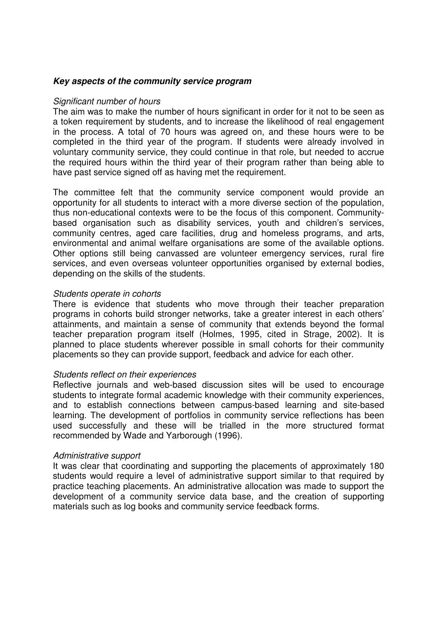## **Key aspects of the community service program**

#### Significant number of hours

The aim was to make the number of hours significant in order for it not to be seen as a token requirement by students, and to increase the likelihood of real engagement in the process. A total of 70 hours was agreed on, and these hours were to be completed in the third year of the program. If students were already involved in voluntary community service, they could continue in that role, but needed to accrue the required hours within the third year of their program rather than being able to have past service signed off as having met the requirement.

The committee felt that the community service component would provide an opportunity for all students to interact with a more diverse section of the population, thus non-educational contexts were to be the focus of this component. Communitybased organisation such as disability services, youth and children's services, community centres, aged care facilities, drug and homeless programs, and arts, environmental and animal welfare organisations are some of the available options. Other options still being canvassed are volunteer emergency services, rural fire services, and even overseas volunteer opportunities organised by external bodies, depending on the skills of the students.

#### Students operate in cohorts

There is evidence that students who move through their teacher preparation programs in cohorts build stronger networks, take a greater interest in each others' attainments, and maintain a sense of community that extends beyond the formal teacher preparation program itself (Holmes, 1995, cited in Strage, 2002). It is planned to place students wherever possible in small cohorts for their community placements so they can provide support, feedback and advice for each other.

#### Students reflect on their experiences

Reflective journals and web-based discussion sites will be used to encourage students to integrate formal academic knowledge with their community experiences, and to establish connections between campus-based learning and site-based learning. The development of portfolios in community service reflections has been used successfully and these will be trialled in the more structured format recommended by Wade and Yarborough (1996).

#### Administrative support

It was clear that coordinating and supporting the placements of approximately 180 students would require a level of administrative support similar to that required by practice teaching placements. An administrative allocation was made to support the development of a community service data base, and the creation of supporting materials such as log books and community service feedback forms.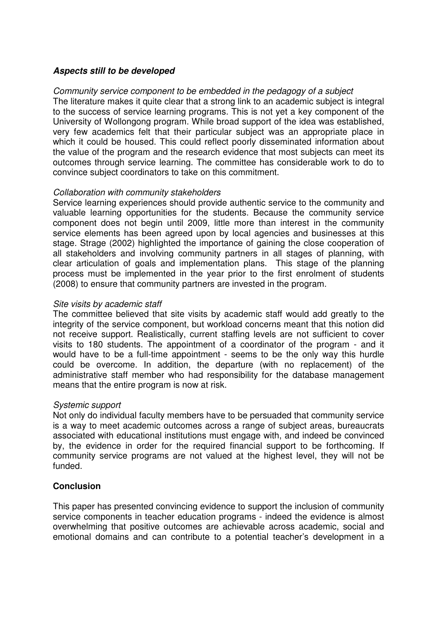## **Aspects still to be developed**

#### Community service component to be embedded in the pedagogy of a subject The literature makes it quite clear that a strong link to an academic subject is integral to the success of service learning programs. This is not yet a key component of the University of Wollongong program. While broad support of the idea was established, very few academics felt that their particular subject was an appropriate place in which it could be housed. This could reflect poorly disseminated information about the value of the program and the research evidence that most subjects can meet its outcomes through service learning. The committee has considerable work to do to convince subject coordinators to take on this commitment.

## Collaboration with community stakeholders

Service learning experiences should provide authentic service to the community and valuable learning opportunities for the students. Because the community service component does not begin until 2009, little more than interest in the community service elements has been agreed upon by local agencies and businesses at this stage. Strage (2002) highlighted the importance of gaining the close cooperation of all stakeholders and involving community partners in all stages of planning, with clear articulation of goals and implementation plans. This stage of the planning process must be implemented in the year prior to the first enrolment of students (2008) to ensure that community partners are invested in the program.

## Site visits by academic staff

The committee believed that site visits by academic staff would add greatly to the integrity of the service component, but workload concerns meant that this notion did not receive support. Realistically, current staffing levels are not sufficient to cover visits to 180 students. The appointment of a coordinator of the program - and it would have to be a full-time appointment - seems to be the only way this hurdle could be overcome. In addition, the departure (with no replacement) of the administrative staff member who had responsibility for the database management means that the entire program is now at risk.

## Systemic support

Not only do individual faculty members have to be persuaded that community service is a way to meet academic outcomes across a range of subject areas, bureaucrats associated with educational institutions must engage with, and indeed be convinced by, the evidence in order for the required financial support to be forthcoming. If community service programs are not valued at the highest level, they will not be funded.

## **Conclusion**

This paper has presented convincing evidence to support the inclusion of community service components in teacher education programs - indeed the evidence is almost overwhelming that positive outcomes are achievable across academic, social and emotional domains and can contribute to a potential teacher's development in a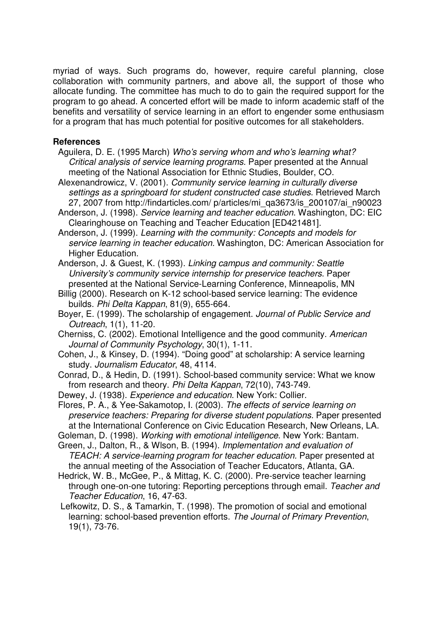myriad of ways. Such programs do, however, require careful planning, close collaboration with community partners, and above all, the support of those who allocate funding. The committee has much to do to gain the required support for the program to go ahead. A concerted effort will be made to inform academic staff of the benefits and versatility of service learning in an effort to engender some enthusiasm for a program that has much potential for positive outcomes for all stakeholders.

## **References**

- Aguilera, D. E. (1995 March) Who's serving whom and who's learning what? Critical analysis of service learning programs. Paper presented at the Annual meeting of the National Association for Ethnic Studies, Boulder, CO.
- Alexenandrowicz, V. (2001). Community service learning in culturally diverse settings as a springboard for student constructed case studies. Retrieved March 27, 2007 from http://findarticles.com/ p/articles/mi\_qa3673/is\_200107/ai\_n90023
- Anderson, J. (1998). Service learning and teacher education. Washington, DC: EIC Clearinghouse on Teaching and Teacher Education [ED421481].
- Anderson, J. (1999). Learning with the community: Concepts and models for service learning in teacher education. Washington, DC: American Association for Higher Education.
- Anderson, J. & Guest, K. (1993). Linking campus and community: Seattle University's community service internship for preservice teachers. Paper presented at the National Service-Learning Conference, Minneapolis, MN
- Billig (2000). Research on K-12 school-based service learning: The evidence builds. Phi Delta Kappan, 81(9), 655-664.
- Boyer, E. (1999). The scholarship of engagement. Journal of Public Service and Outreach, 1(1), 11-20.
- Cherniss, C. (2002). Emotional Intelligence and the good community. American Journal of Community Psychology, 30(1), 1-11.
- Cohen, J., & Kinsey, D. (1994). "Doing good" at scholarship: A service learning study. Journalism Educator, 48, 4114.
- Conrad, D., & Hedin, D. (1991). School-based community service: What we know from research and theory. Phi Delta Kappan, 72(10), 743-749.
- Dewey, J. (1938). Experience and education. New York: Collier.
- Flores, P. A., & Yee-Sakamotop, I. (2003). The effects of service learning on preservice teachers: Preparing for diverse student populations. Paper presented at the International Conference on Civic Education Research, New Orleans, LA.
- Goleman, D. (1998). Working with emotional intelligence. New York: Bantam.
- Green, J., Dalton, R., & Wlson, B. (1994). Implementation and evaluation of TEACH: A service-learning program for teacher education. Paper presented at the annual meeting of the Association of Teacher Educators, Atlanta, GA.
- Hedrick, W. B., McGee, P., & Mittag, K. C. (2000). Pre-service teacher learning through one-on-one tutoring: Reporting perceptions through email. Teacher and Teacher Education, 16, 47-63.
- Lefkowitz, D. S., & Tamarkin, T. (1998). The promotion of social and emotional learning: school-based prevention efforts. The Journal of Primary Prevention, 19(1), 73-76.